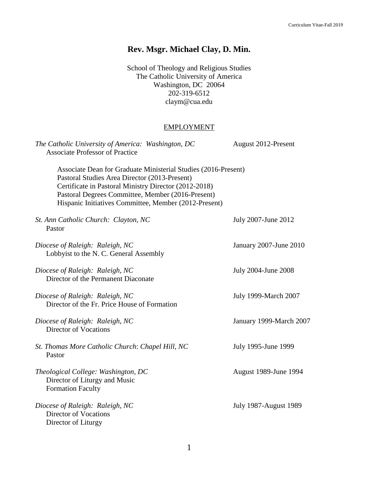# **Rev. Msgr. Michael Clay, D. Min.**

School of Theology and Religious Studies The Catholic University of America Washington, DC 20064 202-319-6512 [claym@cua.edu](mailto:claym@cua.edu)

### EMPLOYMENT

| The Catholic University of America: Washington, DC<br><b>Associate Professor of Practice</b>                                                                                                                                                                                           | August 2012-Present          |  |
|----------------------------------------------------------------------------------------------------------------------------------------------------------------------------------------------------------------------------------------------------------------------------------------|------------------------------|--|
| Associate Dean for Graduate Ministerial Studies (2016-Present)<br>Pastoral Studies Area Director (2013-Present)<br>Certificate in Pastoral Ministry Director (2012-2018)<br>Pastoral Degrees Committee, Member (2016-Present)<br>Hispanic Initiatives Committee, Member (2012-Present) |                              |  |
| St. Ann Catholic Church: Clayton, NC<br>Pastor                                                                                                                                                                                                                                         | July 2007-June 2012          |  |
| Diocese of Raleigh: Raleigh, NC<br>Lobbyist to the N. C. General Assembly                                                                                                                                                                                                              | January 2007-June 2010       |  |
| Diocese of Raleigh: Raleigh, NC<br>Director of the Permanent Diaconate                                                                                                                                                                                                                 | July 2004-June 2008          |  |
| Diocese of Raleigh: Raleigh, NC<br>Director of the Fr. Price House of Formation                                                                                                                                                                                                        | <b>July 1999-March 2007</b>  |  |
| Diocese of Raleigh: Raleigh, NC<br><b>Director of Vocations</b>                                                                                                                                                                                                                        | January 1999-March 2007      |  |
| St. Thomas More Catholic Church: Chapel Hill, NC<br>Pastor                                                                                                                                                                                                                             | July 1995-June 1999          |  |
| Theological College: Washington, DC<br>Director of Liturgy and Music<br><b>Formation Faculty</b>                                                                                                                                                                                       | August 1989-June 1994        |  |
| Diocese of Raleigh: Raleigh, NC<br><b>Director of Vocations</b><br>Director of Liturgy                                                                                                                                                                                                 | <b>July 1987-August 1989</b> |  |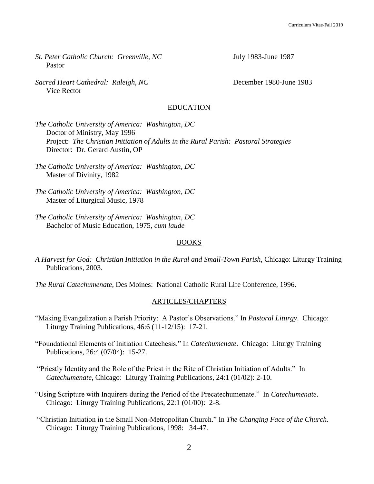- *St. Peter Catholic Church: Greenville, NC* July 1983-June 1987 Pastor
- *Sacred Heart Cathedral: Raleigh, NC* December 1980-June 1983 Vice Rector

#### EDUCATION

*The Catholic University of America: Washington, DC* Doctor of Ministry, May 1996 Project: *The Christian Initiation of Adults in the Rural Parish: Pastoral Strategies* Director: Dr. Gerard Austin, OP

- *The Catholic University of America: Washington, DC* Master of Divinity, 1982
- *The Catholic University of America: Washington, DC* Master of Liturgical Music, 1978
- *The Catholic University of America: Washington, DC* Bachelor of Music Education, 1975, *cum laude*

#### BOOKS

- *A Harvest for God: Christian Initiation in the Rural and Small-Town Parish,* Chicago: Liturgy Training Publications, 2003.
- *The Rural Catechumenate*, Des Moines: National Catholic Rural Life Conference, 1996.

#### ARTICLES/CHAPTERS

- "Making Evangelization a Parish Priority: A Pastor's Observations." In *Pastoral Liturgy*. Chicago: Liturgy Training Publications, 46:6 (11-12/15): 17-21.
- "Foundational Elements of Initiation Catechesis." In *Catechumenate*. Chicago: Liturgy Training Publications, 26:4 (07/04): 15-27.
- "Priestly Identity and the Role of the Priest in the Rite of Christian Initiation of Adults." In *Catechumenate*, Chicago: Liturgy Training Publications, 24:1 (01/02): 2-10.
- "Using Scripture with Inquirers during the Period of the Precatechumenate." In *Catechumenate*. Chicago: Liturgy Training Publications, 22:1 (01/00): 2-8.
- "Christian Initiation in the Small Non-Metropolitan Church." In *The Changing Face of the Church*. Chicago: Liturgy Training Publications, 1998: 34-47.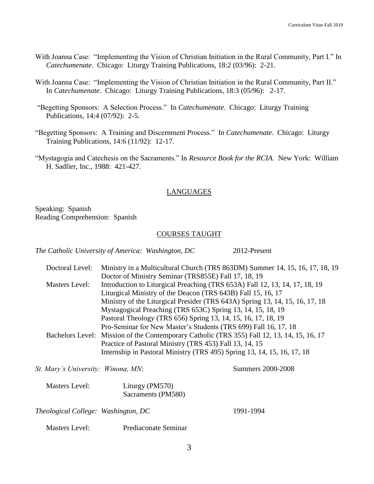- With Joanna Case: "Implementing the Vision of Christian Initiation in the Rural Community, Part I." In *Catechumenate*. Chicago: Liturgy Training Publications, 18:2 (03/96): 2-21.
- With Joanna Case: "Implementing the Vision of Christian Initiation in the Rural Community, Part II." In *Catechumenate*. Chicago: Liturgy Training Publications, 18:3 (05/96): 2-17.
- "Begetting Sponsors: A Selection Process." In *Catechumenate*. Chicago: Liturgy Training Publications, 14:4 (07/92): 2-5.
- "Begetting Sponsors: A Training and Discernment Process." In *Catechumenate*. Chicago: Liturgy Training Publications, 14:6 (11/92): 12-17.
- "Mystagogia and Catechesis on the Sacraments." In *Resource Book for the RCIA*. New York: William H. Sadlier, Inc., 1988: 421-427.

#### LANGUAGES

Speaking: Spanish Reading Comprehension: Spanish

#### COURSES TAUGHT

*The Catholic University of America: Washington, DC* 2012-Present

| Doctoral Level: | Ministry in a Multicultural Church (TRS 863DM) Summer 14, 15, 16, 17, 18, 19                |
|-----------------|---------------------------------------------------------------------------------------------|
|                 | Doctor of Ministry Seminar (TRS855E) Fall 17, 18, 19                                        |
| Masters Level:  | Introduction to Liturgical Preaching (TRS 653A) Fall 12, 13, 14, 17, 18, 19                 |
|                 | Liturgical Ministry of the Deacon (TRS 643B) Fall 15, 16, 17                                |
|                 | Ministry of the Liturgical Presider (TRS 643A) Spring 13, 14, 15, 16, 17, 18                |
|                 | Mystagogical Preaching (TRS 653C) Spring 13, 14, 15, 18, 19                                 |
|                 | Pastoral Theology (TRS 656) Spring 13, 14, 15, 16, 17, 18, 19                               |
|                 | Pro-Seminar for New Master's Students (TRS 699) Fall 16, 17, 18                             |
|                 | Bachelors Level: Mission of the Contemporary Catholic (TRS 355) Fall 12, 13, 14, 15, 16, 17 |
|                 | Practice of Pastoral Ministry (TRS 453) Fall 13, 14, 15                                     |
|                 | Internship in Pastoral Ministry (TRS 495) Spring 13, 14, 15, 16, 17, 18                     |

*St. Mary's University: Winona, MN*: Summers 2000-2008

| Masters Level: | Liturgy (PM570)    |
|----------------|--------------------|
|                | Sacraments (PM580) |

*Theological College: Washington, DC* 1991-1994

Masters Level: Prediaconate Seminar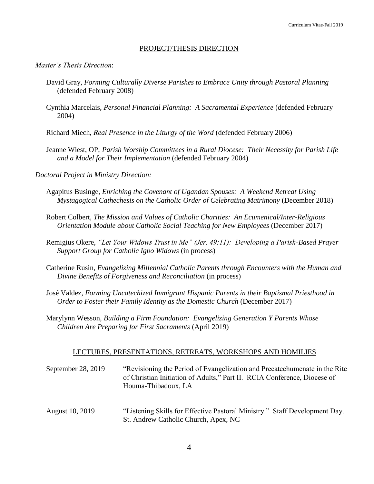#### PROJECT/THESIS DIRECTION

#### *Master's Thesis Direction*:

- David Gray, *Forming Culturally Diverse Parishes to Embrace Unity through Pastoral Planning* (defended February 2008)
- Cynthia Marcelais, *Personal Financial Planning: A Sacramental Experience* (defended February 2004)
- Richard Miech, *Real Presence in the Liturgy of the Word* (defended February 2006)
- Jeanne Wiest, OP, *Parish Worship Committees in a Rural Diocese: Their Necessity for Parish Life and a Model for Their Implementation* (defended February 2004)
- *Doctoral Project in Ministry Direction:*
	- Agapitus Businge, *Enriching the Covenant of Ugandan Spouses: A Weekend Retreat Using Mystagogical Cathechesis on the Catholic Order of Celebrating Matrimony* (December 2018)
	- Robert Colbert, *The Mission and Values of Catholic Charities: An Ecumenical/Inter-Religious Orientation Module about Catholic Social Teaching for New Employees* (December 2017)
	- Remigius Okere, *"Let Your Widows Trust in Me" (Jer. 49:11): Developing a Parish-Based Prayer Support Group for Catholic Igbo Widows* (in process)
	- Catherine Rusin, *Evangelizing Millennial Catholic Parents through Encounters with the Human and Divine Benefits of Forgiveness and Reconciliation* (in process)
	- José Valdez, *Forming Uncatechized Immigrant Hispanic Parents in their Baptismal Priesthood in Order to Foster their Family Identity as the Domestic Church* (December 2017)
	- Marylynn Wesson, *Building a Firm Foundation: Evangelizing Generation Y Parents Whose Children Are Preparing for First Sacraments* (April 2019)

#### LECTURES, PRESENTATIONS, RETREATS, WORKSHOPS AND HOMILIES

- September 28, 2019 "Revisioning the Period of Evangelization and Precatechumenate in the Rite of Christian Initiation of Adults," Part II. RCIA Conference, Diocese of Houma-Thibadoux, LA
- August 10, 2019 "Listening Skills for Effective Pastoral Ministry." Staff Development Day. St. Andrew Catholic Church, Apex, NC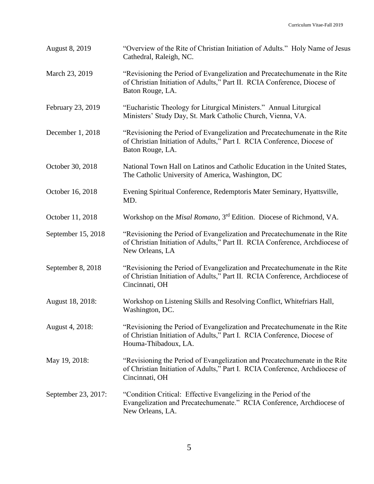| <b>August 8, 2019</b> | "Overview of the Rite of Christian Initiation of Adults." Holy Name of Jesus<br>Cathedral, Raleigh, NC.                                                                       |
|-----------------------|-------------------------------------------------------------------------------------------------------------------------------------------------------------------------------|
| March 23, 2019        | "Revisioning the Period of Evangelization and Precatechumenate in the Rite<br>of Christian Initiation of Adults," Part II. RCIA Conference, Diocese of<br>Baton Rouge, LA.    |
| February 23, 2019     | "Eucharistic Theology for Liturgical Ministers." Annual Liturgical<br>Ministers' Study Day, St. Mark Catholic Church, Vienna, VA.                                             |
| December 1, 2018      | "Revisioning the Period of Evangelization and Precatechumenate in the Rite<br>of Christian Initiation of Adults," Part I. RCIA Conference, Diocese of<br>Baton Rouge, LA.     |
| October 30, 2018      | National Town Hall on Latinos and Catholic Education in the United States,<br>The Catholic University of America, Washington, DC                                              |
| October 16, 2018      | Evening Spiritual Conference, Redemptoris Mater Seminary, Hyattsville,<br>MD.                                                                                                 |
| October 11, 2018      | Workshop on the <i>Misal Romano</i> , 3 <sup>rd</sup> Edition. Diocese of Richmond, VA.                                                                                       |
| September 15, 2018    | "Revisioning the Period of Evangelization and Precatechumenate in the Rite<br>of Christian Initiation of Adults," Part II. RCIA Conference, Archdiocese of<br>New Orleans, LA |
| September 8, 2018     | "Revisioning the Period of Evangelization and Precatechumenate in the Rite<br>of Christian Initiation of Adults," Part II. RCIA Conference, Archdiocese of<br>Cincinnati, OH  |
| August 18, 2018:      | Workshop on Listening Skills and Resolving Conflict, Whitefriars Hall,<br>Washington, DC.                                                                                     |
| August 4, 2018:       | "Revisioning the Period of Evangelization and Precatechumenate in the Rite<br>of Christian Initiation of Adults," Part I. RCIA Conference, Diocese of<br>Houma-Thibadoux, LA. |
| May 19, 2018:         | "Revisioning the Period of Evangelization and Precatechumenate in the Rite<br>of Christian Initiation of Adults," Part I. RCIA Conference, Archdiocese of<br>Cincinnati, OH   |
| September 23, 2017:   | "Condition Critical: Effective Evangelizing in the Period of the<br>Evangelization and Precatechumenate." RCIA Conference, Archdiocese of<br>New Orleans, LA.                 |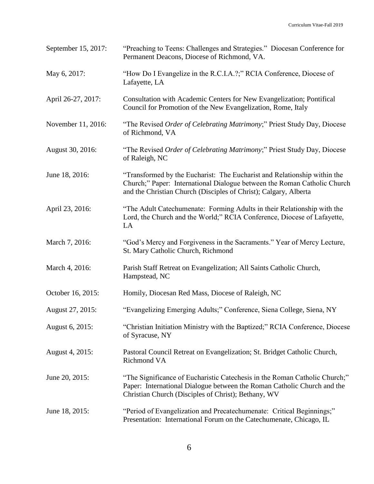| September 15, 2017: | "Preaching to Teens: Challenges and Strategies." Diocesan Conference for<br>Permanent Deacons, Diocese of Richmond, VA.                                                                                                  |
|---------------------|--------------------------------------------------------------------------------------------------------------------------------------------------------------------------------------------------------------------------|
| May 6, 2017:        | "How Do I Evangelize in the R.C.I.A.?;" RCIA Conference, Diocese of<br>Lafayette, LA                                                                                                                                     |
| April 26-27, 2017:  | Consultation with Academic Centers for New Evangelization; Pontifical<br>Council for Promotion of the New Evangelization, Rome, Italy                                                                                    |
| November 11, 2016:  | "The Revised Order of Celebrating Matrimony;" Priest Study Day, Diocese<br>of Richmond, VA                                                                                                                               |
| August 30, 2016:    | "The Revised Order of Celebrating Matrimony;" Priest Study Day, Diocese<br>of Raleigh, NC                                                                                                                                |
| June 18, 2016:      | "Transformed by the Eucharist: The Eucharist and Relationship within the<br>Church;" Paper: International Dialogue between the Roman Catholic Church<br>and the Christian Church (Disciples of Christ); Calgary, Alberta |
| April 23, 2016:     | "The Adult Catechumenate: Forming Adults in their Relationship with the<br>Lord, the Church and the World;" RCIA Conference, Diocese of Lafayette,<br>LA                                                                 |
| March 7, 2016:      | "God's Mercy and Forgiveness in the Sacraments." Year of Mercy Lecture,<br>St. Mary Catholic Church, Richmond                                                                                                            |
| March 4, 2016:      | Parish Staff Retreat on Evangelization; All Saints Catholic Church,<br>Hampstead, NC                                                                                                                                     |
| October 16, 2015:   | Homily, Diocesan Red Mass, Diocese of Raleigh, NC                                                                                                                                                                        |
| August 27, 2015:    | "Evangelizing Emerging Adults;" Conference, Siena College, Siena, NY                                                                                                                                                     |
| August 6, 2015:     | "Christian Initiation Ministry with the Baptized;" RCIA Conference, Diocese<br>of Syracuse, NY                                                                                                                           |
| August 4, 2015:     | Pastoral Council Retreat on Evangelization; St. Bridget Catholic Church,<br>Richmond VA                                                                                                                                  |
| June 20, 2015:      | "The Significance of Eucharistic Catechesis in the Roman Catholic Church;"<br>Paper: International Dialogue between the Roman Catholic Church and the<br>Christian Church (Disciples of Christ); Bethany, WV             |
| June 18, 2015:      | "Period of Evangelization and Precatechumenate: Critical Beginnings;"<br>Presentation: International Forum on the Catechumenate, Chicago, IL                                                                             |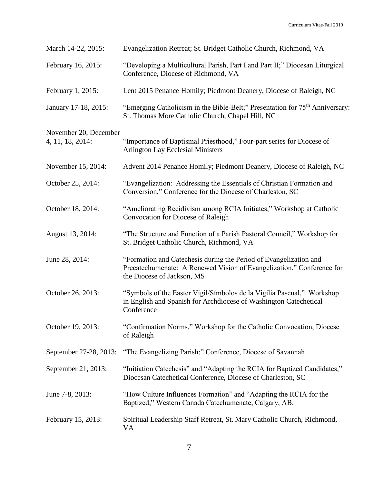| March 14-22, 2015:                        | Evangelization Retreat; St. Bridget Catholic Church, Richmond, VA                                                                                                        |
|-------------------------------------------|--------------------------------------------------------------------------------------------------------------------------------------------------------------------------|
| February 16, 2015:                        | "Developing a Multicultural Parish, Part I and Part II;" Diocesan Liturgical<br>Conference, Diocese of Richmond, VA                                                      |
| February 1, 2015:                         | Lent 2015 Penance Homily; Piedmont Deanery, Diocese of Raleigh, NC                                                                                                       |
| January 17-18, 2015:                      | "Emerging Catholicism in the Bible-Belt;" Presentation for 75 <sup>th</sup> Anniversary:<br>St. Thomas More Catholic Church, Chapel Hill, NC                             |
| November 20, December<br>4, 11, 18, 2014: | "Importance of Baptismal Priesthood," Four-part series for Diocese of<br><b>Arlington Lay Ecclesial Ministers</b>                                                        |
| November 15, 2014:                        | Advent 2014 Penance Homily; Piedmont Deanery, Diocese of Raleigh, NC                                                                                                     |
| October 25, 2014:                         | "Evangelization: Addressing the Essentials of Christian Formation and<br>Conversion," Conference for the Diocese of Charleston, SC                                       |
| October 18, 2014:                         | "Ameliorating Recidivism among RCIA Initiates," Workshop at Catholic<br>Convocation for Diocese of Raleigh                                                               |
| August 13, 2014:                          | "The Structure and Function of a Parish Pastoral Council," Workshop for<br>St. Bridget Catholic Church, Richmond, VA                                                     |
| June 28, 2014:                            | "Formation and Catechesis during the Period of Evangelization and<br>Precatechumenate: A Renewed Vision of Evangelization," Conference for<br>the Diocese of Jackson, MS |
| October 26, 2013:                         | "Symbols of the Easter Vigil/Símbolos de la Vigilia Pascual," Workshop<br>in English and Spanish for Archdiocese of Washington Catechetical<br>Conference                |
| October 19, 2013:                         | "Confirmation Norms," Workshop for the Catholic Convocation, Diocese<br>of Raleigh                                                                                       |
| September 27-28, 2013:                    | "The Evangelizing Parish;" Conference, Diocese of Savannah                                                                                                               |
| September 21, 2013:                       | "Initiation Catechesis" and "Adapting the RCIA for Baptized Candidates,"<br>Diocesan Catechetical Conference, Diocese of Charleston, SC                                  |
| June 7-8, 2013:                           | "How Culture Influences Formation" and "Adapting the RCIA for the<br>Baptized," Western Canada Catechumenate, Calgary, AB.                                               |
| February 15, 2013:                        | Spiritual Leadership Staff Retreat, St. Mary Catholic Church, Richmond,<br>VA                                                                                            |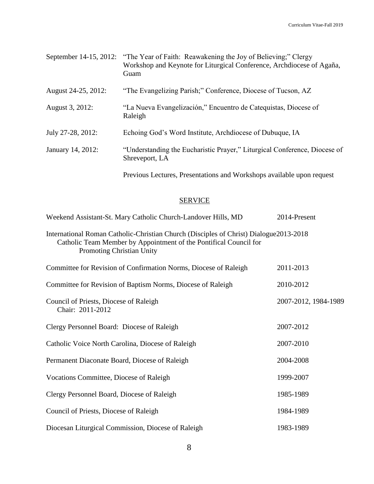|                     | September 14-15, 2012: "The Year of Faith: Reawakening the Joy of Believing;" Clergy<br>Workshop and Keynote for Liturgical Conference, Archdiocese of Agaña,<br>Guam |
|---------------------|-----------------------------------------------------------------------------------------------------------------------------------------------------------------------|
| August 24-25, 2012: | "The Evangelizing Parish;" Conference, Diocese of Tucson, AZ                                                                                                          |
| August 3, 2012:     | "La Nueva Evangelización," Encuentro de Catequistas, Diocese of<br>Raleigh                                                                                            |
| July 27-28, 2012:   | Echoing God's Word Institute, Archdiocese of Dubuque, IA                                                                                                              |
| January 14, 2012:   | "Understanding the Eucharistic Prayer," Liturgical Conference, Diocese of<br>Shreveport, LA                                                                           |
|                     | Previous Lectures, Presentations and Workshops available upon request                                                                                                 |

## **SERVICE**

| Weekend Assistant-St. Mary Catholic Church-Landover Hills, MD                                                                                                                                   | 2014-Present         |
|-------------------------------------------------------------------------------------------------------------------------------------------------------------------------------------------------|----------------------|
| International Roman Catholic-Christian Church (Disciples of Christ) Dialogue 2013-2018<br>Catholic Team Member by Appointment of the Pontifical Council for<br><b>Promoting Christian Unity</b> |                      |
| Committee for Revision of Confirmation Norms, Diocese of Raleigh                                                                                                                                | 2011-2013            |
| Committee for Revision of Baptism Norms, Diocese of Raleigh                                                                                                                                     | 2010-2012            |
| Council of Priests, Diocese of Raleigh<br>Chair: 2011-2012                                                                                                                                      | 2007-2012, 1984-1989 |
| Clergy Personnel Board: Diocese of Raleigh                                                                                                                                                      | 2007-2012            |
| Catholic Voice North Carolina, Diocese of Raleigh                                                                                                                                               | 2007-2010            |
| Permanent Diaconate Board, Diocese of Raleigh                                                                                                                                                   | 2004-2008            |
| Vocations Committee, Diocese of Raleigh                                                                                                                                                         | 1999-2007            |
| Clergy Personnel Board, Diocese of Raleigh                                                                                                                                                      | 1985-1989            |
| Council of Priests, Diocese of Raleigh                                                                                                                                                          | 1984-1989            |
| Diocesan Liturgical Commission, Diocese of Raleigh                                                                                                                                              | 1983-1989            |